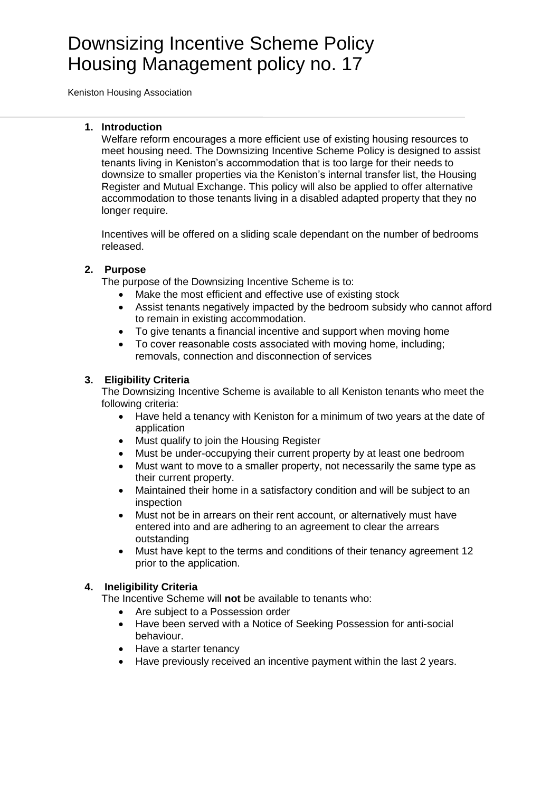# Downsizing Incentive Scheme Policy Housing Management policy no. 17

Keniston Housing Association

#### **1. Introduction**

Welfare reform encourages a more efficient use of existing housing resources to meet housing need. The Downsizing Incentive Scheme Policy is designed to assist tenants living in Keniston's accommodation that is too large for their needs to downsize to smaller properties via the Keniston's internal transfer list, the Housing Register and Mutual Exchange. This policy will also be applied to offer alternative accommodation to those tenants living in a disabled adapted property that they no longer require.

Incentives will be offered on a sliding scale dependant on the number of bedrooms released.

## **2. Purpose**

The purpose of the Downsizing Incentive Scheme is to:

- Make the most efficient and effective use of existing stock
- Assist tenants negatively impacted by the bedroom subsidy who cannot afford to remain in existing accommodation.
- To give tenants a financial incentive and support when moving home
- To cover reasonable costs associated with moving home, including; removals, connection and disconnection of services

## **3. Eligibility Criteria**

The Downsizing Incentive Scheme is available to all Keniston tenants who meet the following criteria:

- Have held a tenancy with Keniston for a minimum of two years at the date of application
- Must qualify to join the Housing Register
- Must be under-occupying their current property by at least one bedroom
- Must want to move to a smaller property, not necessarily the same type as their current property.
- Maintained their home in a satisfactory condition and will be subject to an inspection
- Must not be in arrears on their rent account, or alternatively must have entered into and are adhering to an agreement to clear the arrears outstanding
- Must have kept to the terms and conditions of their tenancy agreement 12 prior to the application.

## **4. Ineligibility Criteria**

The Incentive Scheme will **not** be available to tenants who:

- Are subject to a Possession order
- Have been served with a Notice of Seeking Possession for anti-social behaviour.
- Have a starter tenancy
- Have previously received an incentive payment within the last 2 years.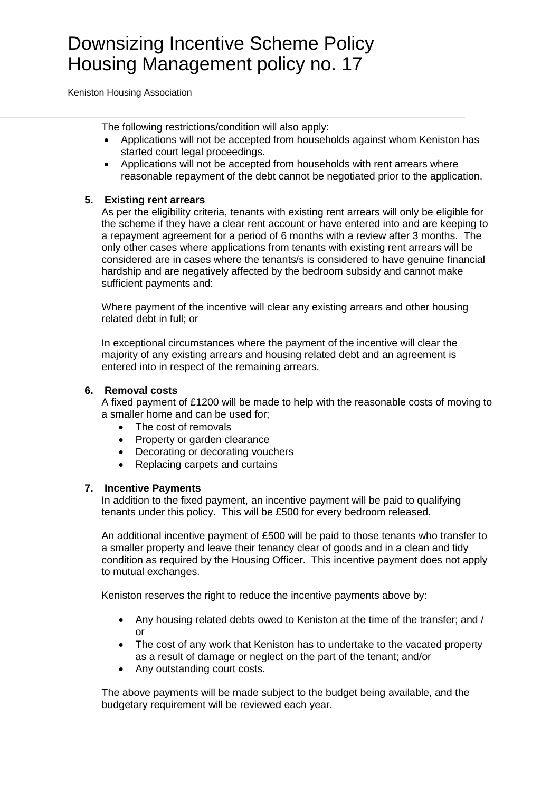Keniston Housing Association

The following restrictions/condition will also apply:

- Applications will not be accepted from households against whom Keniston has started court legal proceedings.
- Applications will not be accepted from households with rent arrears where reasonable repayment of the debt cannot be negotiated prior to the application.

#### **5. Existing rent arrears**

As per the eligibility criteria, tenants with existing rent arrears will only be eligible for the scheme if they have a clear rent account or have entered into and are keeping to a repayment agreement for a period of 6 months with a review after 3 months. The only other cases where applications from tenants with existing rent arrears will be considered are in cases where the tenants/s is considered to have genuine financial hardship and are negatively affected by the bedroom subsidy and cannot make sufficient payments and:

Where payment of the incentive will clear any existing arrears and other housing related debt in full; or

In exceptional circumstances where the payment of the incentive will clear the majority of any existing arrears and housing related debt and an agreement is entered into in respect of the remaining arrears.

#### **6. Removal costs**

A fixed payment of £1200 will be made to help with the reasonable costs of moving to a smaller home and can be used for;

- The cost of removals
- Property or garden clearance
- Decorating or decorating vouchers
- Replacing carpets and curtains

#### **7. Incentive Payments**

In addition to the fixed payment, an incentive payment will be paid to qualifying tenants under this policy. This will be £500 for every bedroom released.

An additional incentive payment of £500 will be paid to those tenants who transfer to a smaller property and leave their tenancy clear of goods and in a clean and tidy condition as required by the Housing Officer. This incentive payment does not apply to mutual exchanges.

Keniston reserves the right to reduce the incentive payments above by:

- Any housing related debts owed to Keniston at the time of the transfer; and / or
- The cost of any work that Keniston has to undertake to the vacated property as a result of damage or neglect on the part of the tenant; and/or
- Any outstanding court costs.

The above payments will be made subject to the budget being available, and the budgetary requirement will be reviewed each year.